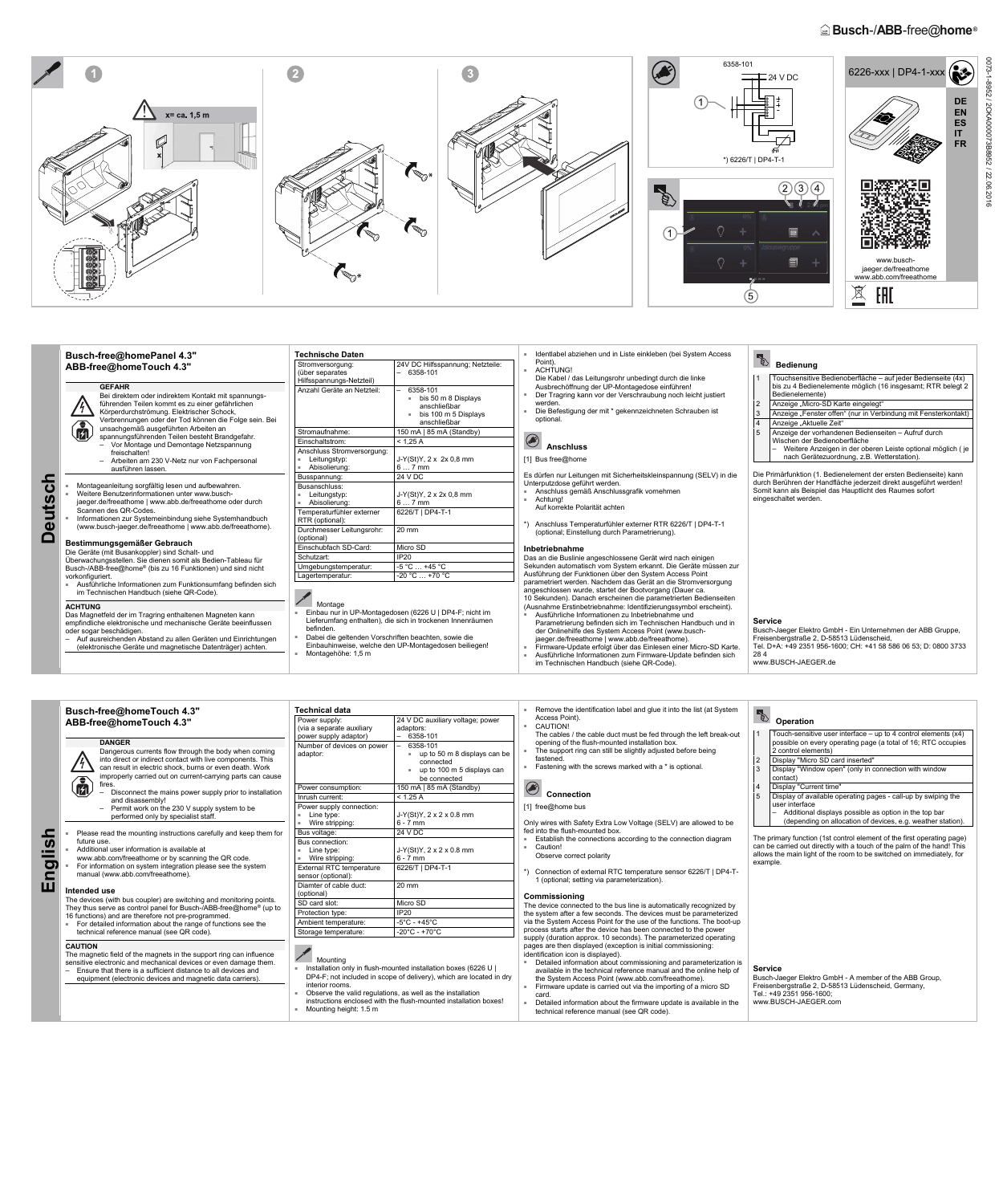# $\widehat{\mathbb{E}}$  **Busch-/ABB-free@home**®



**Deutsch** 

**Deutsch** 

| Busch-free@homePanel 4.3"                                                                                                                                                                                                                                                                                          | <b>Technische Daten</b>                                                                                                                                                                                                                                                              |                                                                                                 | Identlabel abziehen und in Liste einkleben (bei System Access<br>Point).                                                                                                                                                                                                                                                                                                                                                       | E                                                                                                                                                                                                                           |                                                                                                                                                                             |  |  |
|--------------------------------------------------------------------------------------------------------------------------------------------------------------------------------------------------------------------------------------------------------------------------------------------------------------------|--------------------------------------------------------------------------------------------------------------------------------------------------------------------------------------------------------------------------------------------------------------------------------------|-------------------------------------------------------------------------------------------------|--------------------------------------------------------------------------------------------------------------------------------------------------------------------------------------------------------------------------------------------------------------------------------------------------------------------------------------------------------------------------------------------------------------------------------|-----------------------------------------------------------------------------------------------------------------------------------------------------------------------------------------------------------------------------|-----------------------------------------------------------------------------------------------------------------------------------------------------------------------------|--|--|
| ABB-free@homeTouch 4.3"                                                                                                                                                                                                                                                                                            | Stromversorgung:<br>(über separates<br>Hilfsspannungs-Netzteil)                                                                                                                                                                                                                      | 24V DC Hilfsspannung; Netzteile:<br><b>ACHTUNG!</b><br>$-6358-101$                              | Die Kabel / das Leitungsrohr unbedingt durch die linke                                                                                                                                                                                                                                                                                                                                                                         |                                                                                                                                                                                                                             | <b>Bedienung</b><br>Touchsensitive Bedienoberfläche – auf jeder Bedienseite (4x)                                                                                            |  |  |
| <b>GEFAHR</b>                                                                                                                                                                                                                                                                                                      | Anzahl Geräte an Netzteil:                                                                                                                                                                                                                                                           | 6358-101                                                                                        | Ausbrechöffnung der UP-Montagedose einführen!                                                                                                                                                                                                                                                                                                                                                                                  |                                                                                                                                                                                                                             | bis zu 4 Bedienelemente möglich (16 insgesamt; RTR belegt 2                                                                                                                 |  |  |
| Bei direktem oder indirektem Kontakt mit spannungs-<br>führenden Teilen kommt es zu einer gefährlichen<br>$\mu$<br>Körperdurchströmung. Elektrischer Schock,<br>Verbrennungen oder der Tod können die Folge sein. Bei                                                                                              |                                                                                                                                                                                                                                                                                      | bis 50 m 8 Displays<br><b>B</b> C<br>anschließbar<br>bis 100 m 5 Displays<br>m.<br>anschließbar | Der Tragring kann vor der Verschraubung noch leicht justiert<br>werden.<br>Die Befestigung der mit * gekennzeichneten Schrauben ist<br>optional<br>۱<br><b>Anschluss</b>                                                                                                                                                                                                                                                       |                                                                                                                                                                                                                             | Bedienelemente)                                                                                                                                                             |  |  |
|                                                                                                                                                                                                                                                                                                                    |                                                                                                                                                                                                                                                                                      |                                                                                                 |                                                                                                                                                                                                                                                                                                                                                                                                                                | $\overline{2}$                                                                                                                                                                                                              | Anzeige "Micro-SD Karte eingelegt"                                                                                                                                          |  |  |
|                                                                                                                                                                                                                                                                                                                    |                                                                                                                                                                                                                                                                                      |                                                                                                 |                                                                                                                                                                                                                                                                                                                                                                                                                                | l 3                                                                                                                                                                                                                         | Anzeige "Fenster offen" (nur in Verbindung mit Fensterkontakt)<br>Anzeige "Aktuelle Zeit"                                                                                   |  |  |
| 俞<br>unsachgemäß ausgeführten Arbeiten an<br>spannungsführenden Teilen besteht Brandgefahr.                                                                                                                                                                                                                        | Stromaufnahme:                                                                                                                                                                                                                                                                       | 150 mA   85 mA (Standby)                                                                        |                                                                                                                                                                                                                                                                                                                                                                                                                                | 5                                                                                                                                                                                                                           | Anzeige der vorhandenen Bedienseiten - Aufruf durch                                                                                                                         |  |  |
| - Vor Montage und Demontage Netzspannung                                                                                                                                                                                                                                                                           | Einschaltstrom:                                                                                                                                                                                                                                                                      | < 1,25 A                                                                                        |                                                                                                                                                                                                                                                                                                                                                                                                                                |                                                                                                                                                                                                                             | Wischen der Bedienoberfläche                                                                                                                                                |  |  |
| freischalten!                                                                                                                                                                                                                                                                                                      | Anschluss Stromversorgung:                                                                                                                                                                                                                                                           |                                                                                                 |                                                                                                                                                                                                                                                                                                                                                                                                                                |                                                                                                                                                                                                                             | Weitere Anzeigen in der oberen Leiste optional möglich (je                                                                                                                  |  |  |
| - Arbeiten am 230 V-Netz nur von Fachpersonal<br>ausführen lassen.                                                                                                                                                                                                                                                 | $\blacksquare$ Leitungstyp:<br>Abisolierung:                                                                                                                                                                                                                                         | J-Y(St)Y, 2 x 2x 0,8 mm<br>$67$ mm                                                              | [1] Bus free@home                                                                                                                                                                                                                                                                                                                                                                                                              |                                                                                                                                                                                                                             | nach Gerätezuordnung, z.B. Wetterstation).                                                                                                                                  |  |  |
| Montageanleitung sorgfältig lesen und aufbewahren.<br>Weitere Benutzerinformationen unter www.busch-<br>jaeger.de/freeathome   www.abb.de/freeathome oder durch<br>Scannen des OR-Codes.<br>- Informationen zur Systemeinbindung siehe Systemhandbuch<br>(www.busch-jaeger.de/freeathome   www.abb.de/freeathome). | Busspannung:                                                                                                                                                                                                                                                                         | 24 V DC                                                                                         | Es dürfen nur Leitungen mit Sicherheitskleinspannung (SELV) in die<br>Unterputzdose geführt werden.<br>Anschluss gemäß Anschlussgrafik vornehmen<br>Achtuna!                                                                                                                                                                                                                                                                   | Die Primärfunktion (1. Bedienelement der ersten Bedienseite) kann<br>durch Berühren der Handfläche jederzeit direkt ausgeführt werden!<br>Somit kann als Beispiel das Hauptlicht des Raumes sofort<br>eingeschaltet werden. |                                                                                                                                                                             |  |  |
|                                                                                                                                                                                                                                                                                                                    | Busanschluss:<br>$\blacksquare$ Leitungstyp:<br>Abisolierung:                                                                                                                                                                                                                        | J-Y(St)Y, 2 x 2x 0,8 mm<br>$67$ mm                                                              |                                                                                                                                                                                                                                                                                                                                                                                                                                |                                                                                                                                                                                                                             |                                                                                                                                                                             |  |  |
|                                                                                                                                                                                                                                                                                                                    | Temperaturfühler externer<br>RTR (optional):                                                                                                                                                                                                                                         | 6226/T   DP4-T-1                                                                                | Auf korrekte Polarität achten<br>Anschluss Temperaturfühler externer RTR 6226/T   DP4-T-1<br>(optional; Einstellung durch Parametrierung).                                                                                                                                                                                                                                                                                     |                                                                                                                                                                                                                             |                                                                                                                                                                             |  |  |
|                                                                                                                                                                                                                                                                                                                    | Durchmesser Leitungsrohr:<br>(optional)                                                                                                                                                                                                                                              | 20 mm                                                                                           |                                                                                                                                                                                                                                                                                                                                                                                                                                |                                                                                                                                                                                                                             |                                                                                                                                                                             |  |  |
| Bestimmungsgemäßer Gebrauch                                                                                                                                                                                                                                                                                        | Einschubfach SD-Card:                                                                                                                                                                                                                                                                | Micro SD                                                                                        | Inbetriebnahme                                                                                                                                                                                                                                                                                                                                                                                                                 |                                                                                                                                                                                                                             |                                                                                                                                                                             |  |  |
| Die Geräte (mit Busankoppler) sind Schalt- und<br>Überwachungsstellen. Sie dienen somit als Bedien-Tableau für                                                                                                                                                                                                     | Schutzart:                                                                                                                                                                                                                                                                           | <b>IP20</b>                                                                                     | Das an die Buslinie angeschlossene Gerät wird nach einigen                                                                                                                                                                                                                                                                                                                                                                     |                                                                                                                                                                                                                             |                                                                                                                                                                             |  |  |
| Busch-/ABB-free@home® (bis zu 16 Funktionen) und sind nicht                                                                                                                                                                                                                                                        | Umgebungstemperatur:                                                                                                                                                                                                                                                                 | $-5^{\circ}$ C  +45 $^{\circ}$ C                                                                | Sekunden automatisch vom System erkannt. Die Geräte müssen zur                                                                                                                                                                                                                                                                                                                                                                 |                                                                                                                                                                                                                             |                                                                                                                                                                             |  |  |
| vorkonfiguriert.                                                                                                                                                                                                                                                                                                   | Lagertemperatur:                                                                                                                                                                                                                                                                     | $-20 °C  +70 °C$                                                                                | Ausführung der Funktionen über den System Access Point                                                                                                                                                                                                                                                                                                                                                                         |                                                                                                                                                                                                                             |                                                                                                                                                                             |  |  |
| Ausführliche Informationen zum Funktionsumfang befinden sich<br>im Technischen Handbuch (siehe QR-Code).                                                                                                                                                                                                           |                                                                                                                                                                                                                                                                                      |                                                                                                 | parametriert werden. Nachdem das Gerät an die Stromversorgung<br>angeschlossen wurde, startet der Bootvorgang (Dauer ca.<br>10 Sekunden). Danach erscheinen die parametrierten Bedienseiten                                                                                                                                                                                                                                    |                                                                                                                                                                                                                             |                                                                                                                                                                             |  |  |
| <b>ACHTUNG</b><br>Das Magnetfeld der im Tragring enthaltenen Magneten kann<br>empfindliche elektronische und mechanische Geräte beeinflussen<br>oder sogar beschädigen.<br>- Auf ausreichenden Abstand zu allen Geräten und Einrichtungen<br>(elektronische Geräte und magnetische Datenträger) achten.            | Montage<br>Einbau nur in UP-Montagedosen (6226 U   DP4-F; nicht im<br>Lieferumfang enthalten), die sich in trockenen Innenräumen<br>befinden.<br>Dabei die geltenden Vorschriften beachten, sowie die<br>Einbauhinweise, welche den UP-Montagedosen beiliegen!<br>Montagehöhe: 1,5 m |                                                                                                 | (Ausnahme Erstinbetriebnahme: Identifizierungssymbol erscheint).<br>Ausführliche Informationen zu Inbetriebnahme und<br>Parametrierung befinden sich im Technischen Handbuch und in<br>der Onlinehilfe des System Access Point (www.busch-<br>jaeger.de/freeathome   www.abb.de/freeathome).<br>Firmware-Update erfolgt über das Einlesen einer Micro-SD Karte<br>Ausführliche Informationen zum Firmware-Update befinden sich | <b>Service</b><br>284                                                                                                                                                                                                       | Busch-Jaeger Elektro GmbH - Ein Unternehmen der ABB Gruppe,<br>Freisenbergstraße 2, D-58513 Lüdenscheid,<br>Tel. D+A: +49 2351 956-1600; CH: +41 58 586 06 53; D: 0800 3733 |  |  |

■ Ausführliche Informationen zum Firmware-Update befinden sich

im Technischen Handbuch (siehe QR-Code).

www.BUSCH-JAEGER.de

**English** 

**Intended use**  The devices (with bus coupler) are switching and monitoring points. They thus serve as control panel for Busch-/ABB-free@home® (up to

(optional)

| Busch-free@homeTouch 4.3"                                                                                                                                                                                                                                                                                                                                                                                                                                                                    | <b>Technical data</b>                                                                                                                                                              |                                                                                                                                                                                                                  | Remove the identification label and glue it into the list (at System                                                                                                                                                                                                                                                                | ∣√                                                                                                                                                                                                                                                                                                                                                                                                                                                     |  |
|----------------------------------------------------------------------------------------------------------------------------------------------------------------------------------------------------------------------------------------------------------------------------------------------------------------------------------------------------------------------------------------------------------------------------------------------------------------------------------------------|------------------------------------------------------------------------------------------------------------------------------------------------------------------------------------|------------------------------------------------------------------------------------------------------------------------------------------------------------------------------------------------------------------|-------------------------------------------------------------------------------------------------------------------------------------------------------------------------------------------------------------------------------------------------------------------------------------------------------------------------------------|--------------------------------------------------------------------------------------------------------------------------------------------------------------------------------------------------------------------------------------------------------------------------------------------------------------------------------------------------------------------------------------------------------------------------------------------------------|--|
| ABB-free@homeTouch 4.3"<br><b>DANGER</b><br>Dangerous currents flow through the body when coming<br>into direct or indirect contact with live components. This<br>can result in electric shock, burns or even death. Work<br>improperly carried out on current-carrying parts can cause<br>$\bf \hat{a}$<br>fires.<br>Disconnect the mains power supply prior to installation<br>and disassembly!<br>$-$ Permit work on the 230 V supply system to be<br>performed only by specialist staff. | Power supply:<br>(via a separate auxiliary<br>power supply adaptor)<br>Number of devices on power<br>adaptor:<br>Power consumption:<br>Inrush current:<br>Power supply connection: | 24 V DC auxiliary voltage; power<br>adaptors:<br>$-6358-101$<br>6358-101<br>up to 50 m 8 displays can be<br>connected<br>up to 100 m 5 displays can<br>be connected<br>150 mA $\mid$ 85 mA (Standby)<br>< 1.25 A | Access Point).<br>CAUTION!<br>The cables / the cable duct must be fed through the left break-out<br>opening of the flush-mounted installation box.<br>The support ring can still be slightly adjusted before being<br>fastened.<br>Fastening with the screws marked with a * is optional.<br><b>Connection</b><br>[1] free@home bus | Operation<br>Touch-sensitive user interface $-$ up to 4 control elements $(x4)$<br>possible on every operating page (a total of 16; RTC occupies<br>2 control elements)<br>Display "Micro SD card inserted"<br>Display "Window open" (only in connection with window<br>contact)<br>Display "Current time"<br>Display of available operating pages - call-up by swiping the<br>user interface<br>Additional displays possible as option in the top bar |  |
|                                                                                                                                                                                                                                                                                                                                                                                                                                                                                              | Line type:<br>Wire stripping:                                                                                                                                                      | $J-Y(St)Y, 2 \times 2 \times 0.8$ mm<br>$6 - 7$ mm                                                                                                                                                               | Only wires with Safety Extra Low Voltage (SELV) are allowed to be                                                                                                                                                                                                                                                                   | (depending on allocation of devices, e.g. weather station).                                                                                                                                                                                                                                                                                                                                                                                            |  |
| Please read the mounting instructions carefully and keep them for                                                                                                                                                                                                                                                                                                                                                                                                                            | Bus voltage:                                                                                                                                                                       | 24 V DC                                                                                                                                                                                                          | fed into the flush-mounted box.                                                                                                                                                                                                                                                                                                     | The primary function (1st control element of the first operating page)                                                                                                                                                                                                                                                                                                                                                                                 |  |
| future use.<br>Additional user information is available at<br>www.abb.com/freeathome or by scanning the QR code.                                                                                                                                                                                                                                                                                                                                                                             | Bus connection:<br>Line type:<br>Wire stripping:                                                                                                                                   | $J-Y(St)Y, 2 \times 2 \times 0.8$ mm<br>$6 - 7$ mm                                                                                                                                                               | Establish the connections according to the connection diagram<br>Caution!<br>Observe correct polarity<br>Connection of external RTC temperature sensor 6226/T   DP4-T-<br>1 (optional; setting via parameterization).                                                                                                               | can be carried out directly with a touch of the palm of the hand! This<br>allows the main light of the room to be switched on immediately, for<br>example.                                                                                                                                                                                                                                                                                             |  |
| For information on system integration please see the system<br>manual (www.abb.com/freeathome).                                                                                                                                                                                                                                                                                                                                                                                              | <b>External RTC temperature</b><br>sensor (optional):                                                                                                                              | 6226/T   DP4-T-1                                                                                                                                                                                                 |                                                                                                                                                                                                                                                                                                                                     |                                                                                                                                                                                                                                                                                                                                                                                                                                                        |  |
| .                                                                                                                                                                                                                                                                                                                                                                                                                                                                                            | Diamter of cable duct:                                                                                                                                                             | 20 mm                                                                                                                                                                                                            |                                                                                                                                                                                                                                                                                                                                     |                                                                                                                                                                                                                                                                                                                                                                                                                                                        |  |

| The devices (with bus coupler) are switching and monitoring points.<br>They thus serve as control panel for Busch-/ABB-free@home <sup>®</sup> (up to<br>16 functions) and are therefore not pre-programmed.<br>For detailed information about the range of functions see the<br>technical reference manual (see QR code). | SD card slot:<br>Micro SD<br>Protection type:<br><b>IP20</b><br>Ambient temperature:<br>$-5^{\circ}$ C - +45 $^{\circ}$ C<br>-20°C - +70°C<br>Storage temperature:                                                                                                                                                                | The device connected to the bus line is automatically recognized by<br>the system after a few seconds. The devices must be parameterized<br>via the System Access Point for the use of the functions. The boot-up<br>process starts after the device has been connected to the power<br>supply (duration approx. 10 seconds). The parameterized operating<br>pages are then displayed (exception is initial commissioning:<br>identification icon is displayed).<br>Detailed information about commissioning and parameterization is<br>available in the technical reference manual and the online help of<br>the System Access Point (www.abb.com/freeathome).<br>Firmware update is carried out via the importing of a micro SD<br>card.<br>Detailed information about the firmware update is available in the<br>technical reference manual (see QR code). |                                                                                                                                                                             |  |  |
|---------------------------------------------------------------------------------------------------------------------------------------------------------------------------------------------------------------------------------------------------------------------------------------------------------------------------|-----------------------------------------------------------------------------------------------------------------------------------------------------------------------------------------------------------------------------------------------------------------------------------------------------------------------------------|---------------------------------------------------------------------------------------------------------------------------------------------------------------------------------------------------------------------------------------------------------------------------------------------------------------------------------------------------------------------------------------------------------------------------------------------------------------------------------------------------------------------------------------------------------------------------------------------------------------------------------------------------------------------------------------------------------------------------------------------------------------------------------------------------------------------------------------------------------------|-----------------------------------------------------------------------------------------------------------------------------------------------------------------------------|--|--|
| <b>CAUTION</b><br>The magnetic field of the magnets in the support ring can influence<br>sensitive electronic and mechanical devices or even damage them.<br>- Ensure that there is a sufficient distance to all devices and<br>equipment (electronic devices and magnetic data carriers).                                | Mountina<br>Installation only in flush-mounted installation boxes (6226 U  <br>DP4-F; not included in scope of delivery), which are located in dry<br>interior rooms.<br>Observe the valid regulations, as well as the installation<br>instructions enclosed with the flush-mounted installation boxes!<br>Mounting height: 1.5 m |                                                                                                                                                                                                                                                                                                                                                                                                                                                                                                                                                                                                                                                                                                                                                                                                                                                               | Service<br>Busch-Jaeger Elektro GmbH - A member of the ABB Group,<br>Freisenbergstraße 2, D-58513 Lüdenscheid, Germany,<br>Tel.: +49 2351 956-1600:<br>www.BUSCH-JAEGER.com |  |  |

**Commissioning**